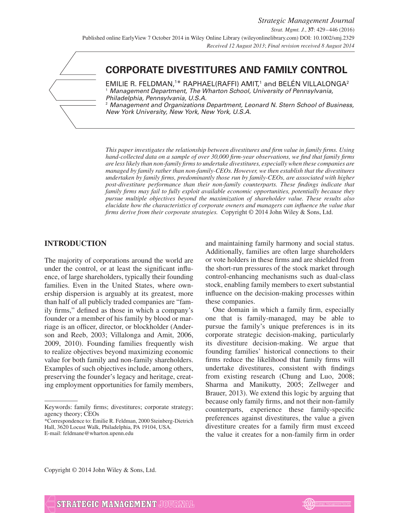# **CORPORATE DIVESTITURES AND FAMILY CONTROL**

 $\mathsf E\mathsf M$ ILIE R. FELDMAN, $^{1*}$  <code>RAPHAEL(RAFFI)</code> AMIT, $^1$  and <code>BELÉN</code> VILLALONGA $^2$ <sup>1</sup> Management Department, The Wharton School, University of Pennsylvania, Philadelphia, Pennsylvania, U.S.A. Management and Organizations Department, Leonard N. Stern School of Business, New York University, New York, New York, U.S.A.

*This paper investigates the relationship between divestitures and firm value in family firms. Using hand-collected data on a sample of over 30,000 firm-year observations, we find that family firms are less likely than non-family firms to undertake divestitures, especially when these companies are managed by family rather than non-family-CEOs. However, we then establish that the divestitures undertaken by family firms, predominantly those run by family-CEOs, are associated with higher post-divestiture performance than their non-family counterparts. These findings indicate that family firms may fail to fully exploit available economic opportunities, potentially because they pursue multiple objectives beyond the maximization of shareholder value. These results also elucidate how the characteristics of corporate owners and managers can influence the value that firms derive from their corporate strategies.* Copyright © 2014 John Wiley & Sons, Ltd.

### **INTRODUCTION**

The majority of corporations around the world are under the control, or at least the significant influence, of large shareholders, typically their founding families. Even in the United States, where ownership dispersion is arguably at its greatest, more than half of all publicly traded companies are "family firms," defined as those in which a company's founder or a member of his family by blood or marriage is an officer, director, or blockholder (Anderson and Reeb, 2003; Villalonga and Amit, 2006, 2009, 2010). Founding families frequently wish to realize objectives beyond maximizing economic value for both family and non-family shareholders. Examples of such objectives include, among others, preserving the founder's legacy and heritage, creating employment opportunities for family members, and maintaining family harmony and social status. Additionally, families are often large shareholders or vote holders in these firms and are shielded from the short-run pressures of the stock market through control-enhancing mechanisms such as dual-class stock, enabling family members to exert substantial influence on the decision-making processes within these companies.

One domain in which a family firm, especially one that is family-managed, may be able to pursue the family's unique preferences is in its corporate strategic decision-making, particularly its divestiture decision-making. We argue that founding families' historical connections to their firms reduce the likelihood that family firms will undertake divestitures, consistent with findings from existing research (Chung and Luo, 2008; Sharma and Manikutty, 2005; Zellweger and Brauer, 2013). We extend this logic by arguing that because only family firms, and not their non-family counterparts, experience these family-specific preferences against divestitures, the value a given divestiture creates for a family firm must exceed the value it creates for a non-family firm in order

Copyright © 2014 John Wiley & Sons, Ltd.



Keywords: family firms; divestitures; corporate strategy; agency theory; CEOs

<sup>\*</sup>Correspondence to: Emilie R. Feldman, 2000 Steinberg-Dietrich Hall, 3620 Locust Walk, Philadelphia, PA 19104, USA. E-mail: feldmane@wharton.upenn.edu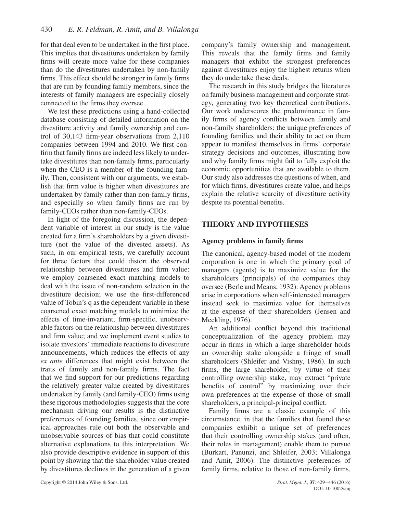for that deal even to be undertaken in the first place. This implies that divestitures undertaken by family firms will create more value for these companies than do the divestitures undertaken by non-family firms. This effect should be stronger in family firms that are run by founding family members, since the interests of family managers are especially closely connected to the firms they oversee.

We test these predictions using a hand-collected database consisting of detailed information on the divestiture activity and family ownership and control of 30,143 firm-year observations from 2,110 companies between 1994 and 2010. We first confirm that family firms are indeed less likely to undertake divestitures than non-family firms, particularly when the CEO is a member of the founding family. Then, consistent with our arguments, we establish that firm value is higher when divestitures are undertaken by family rather than non-family firms, and especially so when family firms are run by family-CEOs rather than non-family-CEOs.

In light of the foregoing discussion, the dependent variable of interest in our study is the value created for a firm's shareholders by a given divestiture (not the value of the divested assets). As such, in our empirical tests, we carefully account for three factors that could distort the observed relationship between divestitures and firm value: we employ coarsened exact matching models to deal with the issue of non-random selection in the divestiture decision; we use the first-differenced value of Tobin's q as the dependent variable in these coarsened exact matching models to minimize the effects of time-invariant, firm-specific, unobservable factors on the relationship between divestitures and firm value; and we implement event studies to isolate investors' immediate reactions to divestiture announcements, which reduces the effects of any *ex ante* differences that might exist between the traits of family and non-family firms. The fact that we find support for our predictions regarding the relatively greater value created by divestitures undertaken by family (and family-CEO) firms using these rigorous methodologies suggests that the core mechanism driving our results is the distinctive preferences of founding families, since our empirical approaches rule out both the observable and unobservable sources of bias that could constitute alternative explanations to this interpretation. We also provide descriptive evidence in support of this point by showing that the shareholder value created by divestitures declines in the generation of a given company's family ownership and management. This reveals that the family firms and family managers that exhibit the strongest preferences against divestitures enjoy the highest returns when they do undertake these deals.

The research in this study bridges the literatures on family business management and corporate strategy, generating two key theoretical contributions. Our work underscores the predominance in family firms of agency conflicts between family and non-family shareholders: the unique preferences of founding families and their ability to act on them appear to manifest themselves in firms' corporate strategy decisions and outcomes, illustrating how and why family firms might fail to fully exploit the economic opportunities that are available to them. Our study also addresses the questions of when, and for which firms, divestitures create value, and helps explain the relative scarcity of divestiture activity despite its potential benefits.

# **THEORY AND HYPOTHESES**

### **Agency problems in family firms**

The canonical, agency-based model of the modern corporation is one in which the primary goal of managers (agents) is to maximize value for the shareholders (principals) of the companies they oversee (Berle and Means, 1932). Agency problems arise in corporations when self-interested managers instead seek to maximize value for themselves at the expense of their shareholders (Jensen and Meckling, 1976).

An additional conflict beyond this traditional conceptualization of the agency problem may occur in firms in which a large shareholder holds an ownership stake alongside a fringe of small shareholders (Shleifer and Vishny, 1986). In such firms, the large shareholder, by virtue of their controlling ownership stake, may extract "private benefits of control" by maximizing over their own preferences at the expense of those of small shareholders, a principal-principal conflict.

Family firms are a classic example of this circumstance, in that the families that found these companies exhibit a unique set of preferences that their controlling ownership stakes (and often, their roles in management) enable them to pursue (Burkart, Panunzi, and Shleifer, 2003; Villalonga and Amit, 2006). The distinctive preferences of family firms, relative to those of non-family firms,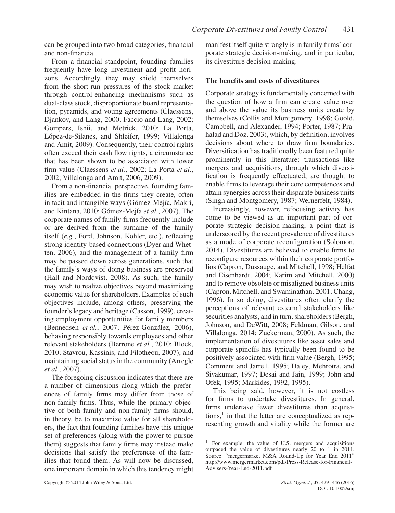can be grouped into two broad categories, financial and non-financial.

From a financial standpoint, founding families frequently have long investment and profit horizons. Accordingly, they may shield themselves from the short-run pressures of the stock market through control-enhancing mechanisms such as dual-class stock, disproportionate board representation, pyramids, and voting agreements (Claessens, Djankov, and Lang, 2000; Faccio and Lang, 2002; Gompers, Ishii, and Metrick, 2010; La Porta, López-de-Silanes, and Shleifer, 1999; Villalonga and Amit, 2009). Consequently, their control rights often exceed their cash flow rights, a circumstance that has been shown to be associated with lower firm value (Claessens *et al.*, 2002; La Porta *et al.*, 2002; Villalonga and Amit, 2006, 2009).

From a non-financial perspective, founding families are embedded in the firms they create, often in tacit and intangible ways (Gómez-Mejía, Makri, and Kintana, 2010; Gómez-Mejía *et al.*, 2007). The corporate names of family firms frequently include or are derived from the surname of the family itself (*e.g.*, Ford, Johnson, Kohler, etc.), reflecting strong identity-based connections (Dyer and Whetten, 2006), and the management of a family firm may be passed down across generations, such that the family's ways of doing business are preserved (Hall and Nordqvist, 2008). As such, the family may wish to realize objectives beyond maximizing economic value for shareholders. Examples of such objectives include, among others, preserving the founder's legacy and heritage (Casson, 1999), creating employment opportunities for family members (Bennedsen *et al.*, 2007; Pérez-González, 2006), behaving responsibly towards employees and other relevant stakeholders (Berrone *et al.*, 2010; Block, 2010; Stavrou, Kassinis, and Filotheou, 2007), and maintaining social status in the community (Arregle *et al.*, 2007).

The foregoing discussion indicates that there are a number of dimensions along which the preferences of family firms may differ from those of non-family firms. Thus, while the primary objective of both family and non-family firms should, in theory, be to maximize value for all shareholders, the fact that founding families have this unique set of preferences (along with the power to pursue them) suggests that family firms may instead make decisions that satisfy the preferences of the families that found them. As will now be discussed, one important domain in which this tendency might manifest itself quite strongly is in family firms' corporate strategic decision-making, and in particular, its divestiture decision-making.

### **The benefits and costs of divestitures**

Corporate strategy is fundamentally concerned with the question of how a firm can create value over and above the value its business units create by themselves (Collis and Montgomery, 1998; Goold, Campbell, and Alexander, 1994; Porter, 1987; Prahalad and Doz, 2003), which, by definition, involves decisions about where to draw firm boundaries. Diversification has traditionally been featured quite prominently in this literature: transactions like mergers and acquisitions, through which diversification is frequently effectuated, are thought to enable firms to leverage their core competences and attain synergies across their disparate business units (Singh and Montgomery, 1987; Wernerfelt, 1984).

Increasingly, however, refocusing activity has come to be viewed as an important part of corporate strategic decision-making, a point that is underscored by the recent prevalence of divestitures as a mode of corporate reconfiguration (Solomon, 2014). Divestitures are believed to enable firms to reconfigure resources within their corporate portfolios (Capron, Dussauge, and Mitchell, 1998; Helfat and Eisenhardt, 2004; Karim and Mitchell, 2000) and to remove obsolete or misaligned business units (Capron, Mitchell, and Swaminathan, 2001; Chang, 1996). In so doing, divestitures often clarify the perceptions of relevant external stakeholders like securities analysts, and in turn, shareholders (Bergh, Johnson, and DeWitt, 2008; Feldman, Gilson, and Villalonga, 2014; Zuckerman, 2000). As such, the implementation of divestitures like asset sales and corporate spinoffs has typically been found to be positively associated with firm value (Bergh, 1995; Comment and Jarrell, 1995; Daley, Mehrotra, and Sivakumar, 1997; Desai and Jain, 1999; John and Ofek, 1995; Markides, 1992, 1995).

This being said, however, it is not costless for firms to undertake divestitures. In general, firms undertake fewer divestitures than acquisitions, $<sup>1</sup>$  in that the latter are conceptualized as rep-</sup> resenting growth and vitality while the former are

<sup>&</sup>lt;sup>1</sup> For example, the value of U.S. mergers and acquisitions outpaced the value of divestitures nearly 20 to 1 in 2011. Source: "mergermarket M&A Round-Up for Year End 2011" http://www.mergermarket.com/pdf/Press-Release-for-Financial-Advisers-Year-End-2011.pdf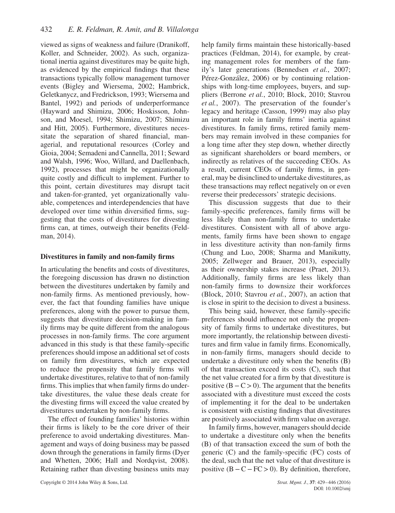viewed as signs of weakness and failure (Dranikoff, Koller, and Schneider, 2002). As such, organizational inertia against divestitures may be quite high, as evidenced by the empirical findings that these transactions typically follow management turnover events (Bigley and Wiersema, 2002; Hambrick, Geletkanycz, and Fredrickson, 1993; Wiersema and Bantel, 1992) and periods of underperformance (Hayward and Shimizu, 2006; Hoskisson, Johnson, and Moesel, 1994; Shimizu, 2007; Shimizu and Hitt, 2005). Furthermore, divestitures necessitate the separation of shared financial, managerial, and reputational resources (Corley and Gioia, 2004; Semadeni and Cannella, 2011; Seward and Walsh, 1996; Woo, Willard, and Daellenbach, 1992), processes that might be organizationally quite costly and difficult to implement. Further to this point, certain divestitures may disrupt tacit and taken-for-granted, yet organizationally valuable, competences and interdependencies that have developed over time within diversified firms, suggesting that the costs of divestitures for divesting firms can, at times, outweigh their benefits (Feldman, 2014).

### **Divestitures in family and non-family firms**

In articulating the benefits and costs of divestitures, the foregoing discussion has drawn no distinction between the divestitures undertaken by family and non-family firms. As mentioned previously, however, the fact that founding families have unique preferences, along with the power to pursue them, suggests that divestiture decision-making in family firms may be quite different from the analogous processes in non-family firms. The core argument advanced in this study is that these family-specific preferences should impose an additional set of costs on family firm divestitures, which are expected to reduce the propensity that family firms will undertake divestitures, relative to that of non-family firms. This implies that when family firms do undertake divestitures, the value these deals create for the divesting firms will exceed the value created by divestitures undertaken by non-family firms.

The effect of founding families' histories within their firms is likely to be the core driver of their preference to avoid undertaking divestitures. Management and ways of doing business may be passed down through the generations in family firms (Dyer and Whetten, 2006; Hall and Nordqvist, 2008). Retaining rather than divesting business units may

help family firms maintain these historically-based practices (Feldman, 2014), for example, by creating management roles for members of the family's later generations (Bennedsen *et al.*, 2007; Pérez-González, 2006) or by continuing relationships with long-time employees, buyers, and suppliers (Berrone *et al.*, 2010; Block, 2010; Stavrou *et al.*, 2007). The preservation of the founder's legacy and heritage (Casson, 1999) may also play an important role in family firms' inertia against divestitures. In family firms, retired family members may remain involved in these companies for a long time after they step down, whether directly as significant shareholders or board members, or indirectly as relatives of the succeeding CEOs. As a result, current CEOs of family firms, in general, may be disinclined to undertake divestitures, as these transactions may reflect negatively on or even reverse their predecessors' strategic decisions.

This discussion suggests that due to their family-specific preferences, family firms will be less likely than non-family firms to undertake divestitures. Consistent with all of above arguments, family firms have been shown to engage in less divestiture activity than non-family firms (Chung and Luo, 2008; Sharma and Manikutty, 2005; Zellweger and Brauer, 2013), especially as their ownership stakes increase (Praet, 2013). Additionally, family firms are less likely than non-family firms to downsize their workforces (Block, 2010; Stavrou *et al.*, 2007), an action that is close in spirit to the decision to divest a business.

This being said, however, these family-specific preferences should influence not only the propensity of family firms to undertake divestitures, but more importantly, the relationship between divestitures and firm value in family firms. Economically, in non-family firms, managers should decide to undertake a divestiture only when the benefits (B) of that transaction exceed its costs (C), such that the net value created for a firm by that divestiture is positive (B−C*>*0). The argument that the benefits associated with a divestiture must exceed the costs of implementing it for the deal to be undertaken is consistent with existing findings that divestitures are positively associated with firm value on average.

In family firms, however, managers should decide to undertake a divestiture only when the benefits (B) of that transaction exceed the sum of both the generic (C) and the family-specific (FC) costs of the deal, such that the net value of that divestiture is positive (B−C−FC*>*0). By definition, therefore,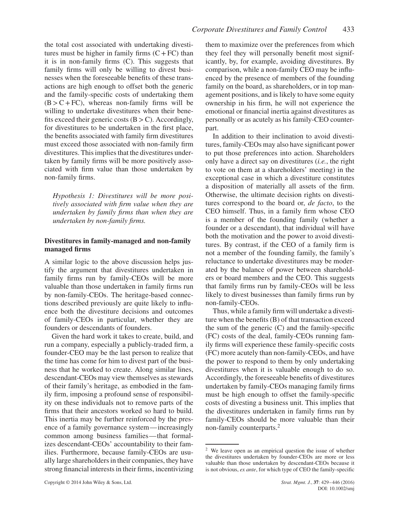the total cost associated with undertaking divestitures must be higher in family firms  $(C + FC)$  than it is in non-family firms (C). This suggests that family firms will only be willing to divest businesses when the foreseeable benefits of these transactions are high enough to offset both the generic and the family-specific costs of undertaking them  $(B > C + FC)$ , whereas non-family firms will be willing to undertake divestitures when their benefits exceed their generic costs (B*>*C). Accordingly, for divestitures to be undertaken in the first place, the benefits associated with family firm divestitures must exceed those associated with non-family firm divestitures. This implies that the divestitures undertaken by family firms will be more positively associated with firm value than those undertaken by non-family firms.

*Hypothesis 1: Divestitures will be more positively associated with firm value when they are undertaken by family firms than when they are undertaken by non-family firms.*

### **Divestitures in family-managed and non-family managed firms**

A similar logic to the above discussion helps justify the argument that divestitures undertaken in family firms run by family-CEOs will be more valuable than those undertaken in family firms run by non-family-CEOs. The heritage-based connections described previously are quite likely to influence both the divestiture decisions and outcomes of family-CEOs in particular, whether they are founders or descendants of founders.

Given the hard work it takes to create, build, and run a company, especially a publicly-traded firm, a founder-CEO may be the last person to realize that the time has come for him to divest part of the business that he worked to create. Along similar lines, descendant-CEOs may view themselves as stewards of their family's heritage, as embodied in the family firm, imposing a profound sense of responsibility on these individuals not to remove parts of the firms that their ancestors worked so hard to build. This inertia may be further reinforced by the presence of a family governance system—increasingly common among business families—that formalizes descendant-CEOs' accountability to their families. Furthermore, because family-CEOs are usually large shareholders in their companies, they have strong financial interests in their firms, incentivizing them to maximize over the preferences from which they feel they will personally benefit most significantly, by, for example, avoiding divestitures. By comparison, while a non-family CEO may be influenced by the presence of members of the founding family on the board, as shareholders, or in top management positions, and is likely to have some equity ownership in his firm, he will not experience the emotional or financial inertia against divestitures as personally or as acutely as his family-CEO counterpart.

In addition to their inclination to avoid divestitures, family-CEOs may also have significant power to put those preferences into action. Shareholders only have a direct say on divestitures (*i.e.*, the right to vote on them at a shareholders' meeting) in the exceptional case in which a divestiture constitutes a disposition of materially all assets of the firm. Otherwise, the ultimate decision rights on divestitures correspond to the board or, *de facto*, to the CEO himself. Thus, in a family firm whose CEO is a member of the founding family (whether a founder or a descendant), that individual will have both the motivation and the power to avoid divestitures. By contrast, if the CEO of a family firm is not a member of the founding family, the family's reluctance to undertake divestitures may be moderated by the balance of power between shareholders or board members and the CEO. This suggests that family firms run by family-CEOs will be less likely to divest businesses than family firms run by non-family-CEOs.

Thus, while a family firm will undertake a divestiture when the benefits (B) of that transaction exceed the sum of the generic  $(C)$  and the family-specific (FC) costs of the deal, family-CEOs running family firms will experience these family-specific costs (FC) more acutely than non-family-CEOs, and have the power to respond to them by only undertaking divestitures when it is valuable enough to do so. Accordingly, the foreseeable benefits of divestitures undertaken by family-CEOs managing family firms must be high enough to offset the family-specific costs of divesting a business unit. This implies that the divestitures undertaken in family firms run by family-CEOs should be more valuable than their non-family counterparts.<sup>2</sup>

<sup>2</sup> We leave open as an empirical question the issue of whether the divestitures undertaken by founder-CEOs are more or less valuable than those undertaken by descendant-CEOs because it is not obvious, *ex ante*, for which type of CEO the family-specific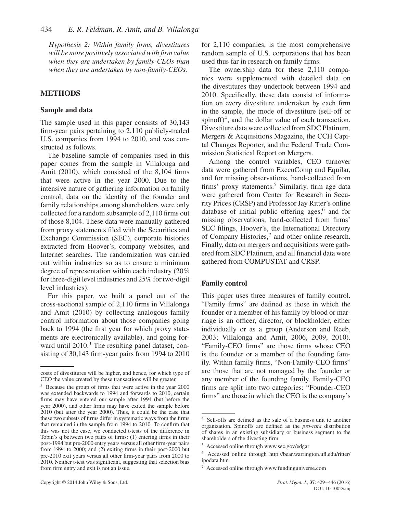*Hypothesis 2: Within family firms, divestitures will be more positively associated with firm value when they are undertaken by family-CEOs than when they are undertaken by non-family-CEOs.*

### **METHODS**

### **Sample and data**

The sample used in this paper consists of 30,143 firm-year pairs pertaining to 2,110 publicly-traded U.S. companies from 1994 to 2010, and was constructed as follows.

The baseline sample of companies used in this paper comes from the sample in Villalonga and Amit (2010), which consisted of the 8,104 firms that were active in the year 2000. Due to the intensive nature of gathering information on family control, data on the identity of the founder and family relationships among shareholders were only collected for a random subsample of 2,110 firms out of those 8,104. These data were manually gathered from proxy statements filed with the Securities and Exchange Commission (SEC), corporate histories extracted from Hoover's, company websites, and Internet searches. The randomization was carried out within industries so as to ensure a minimum degree of representation within each industry (20% for three-digit level industries and 25% for two-digit level industries).

For this paper, we built a panel out of the cross-sectional sample of 2,110 firms in Villalonga and Amit (2010) by collecting analogous family control information about those companies going back to 1994 (the first year for which proxy statements are electronically available), and going forward until 2010.<sup>3</sup> The resulting panel dataset, consisting of 30,143 firm-year pairs from 1994 to 2010 for 2,110 companies, is the most comprehensive random sample of U.S. corporations that has been used thus far in research on family firms.

The ownership data for these 2,110 companies were supplemented with detailed data on the divestitures they undertook between 1994 and 2010. Specifically, these data consist of information on every divestiture undertaken by each firm in the sample, the mode of divestiture (sell-off or spinoff $)^4$ , and the dollar value of each transaction. Divestiture data were collected from SDC Platinum, Mergers & Acquisitions Magazine, the CCH Capital Changes Reporter, and the Federal Trade Commission Statistical Report on Mergers.

Among the control variables, CEO turnover data were gathered from ExecuComp and Equilar, and for missing observations, hand-collected from firms' proxy statements.<sup>5</sup> Similarly, firm age data were gathered from Center for Research in Security Prices (CRSP) and Professor Jay Ritter's online database of initial public offering ages, $6$  and for missing observations, hand-collected from firms' SEC filings, Hoover's, the International Directory of Company Histories,<sup>7</sup> and other online research. Finally, data on mergers and acquisitions were gathered from SDC Platinum, and all financial data were gathered from COMPUSTAT and CRSP.

### **Family control**

This paper uses three measures of family control. "Family firms" are defined as those in which the founder or a member of his family by blood or marriage is an officer, director, or blockholder, either individually or as a group (Anderson and Reeb, 2003; Villalonga and Amit, 2006, 2009, 2010). "Family-CEO firms" are those firms whose CEO is the founder or a member of the founding family. Within family firms, "Non-Family-CEO firms" are those that are not managed by the founder or any member of the founding family. Family-CEO firms are split into two categories: "Founder-CEO firms" are those in which the CEO is the company's

costs of divestitures will be higher, and hence, for which type of CEO the value created by these transactions will be greater.

<sup>&</sup>lt;sup>3</sup> Because the group of firms that were active in the year 2000 was extended backwards to 1994 and forwards to 2010, certain firms may have entered our sample after 1994 (but before the year 2000), and other firms may have exited the sample before 2010 (but after the year 2000). Thus, it could be the case that these two subsets of firms differ in systematic ways from the firms that remained in the sample from 1994 to 2010. To confirm that this was not the case, we conducted t-tests of the difference in Tobin's q between two pairs of firms: (1) entering firms in their post-1994 but pre-2000 entry years versus all other firm-year pairs from 1994 to 2000; and (2) exiting firms in their post-2000 but pre-2010 exit years versus all other firm-year pairs from 2000 to 2010. Neither t-test was significant, suggesting that selection bias from firm entry and exit is not an issue.

<sup>4</sup> Sell-offs are defined as the sale of a business unit to another organization. Spinoffs are defined as the *pro-rata* distribution of shares in an existing subsidiary or business segment to the shareholders of the divesting firm.

<sup>5</sup> Accessed online through www.sec.gov/edgar

<sup>6</sup> Accessed online through http://bear.warrington.ufl.edu/ritter/ ipodata.htm

<sup>7</sup> Accessed online through www.fundinguniverse.com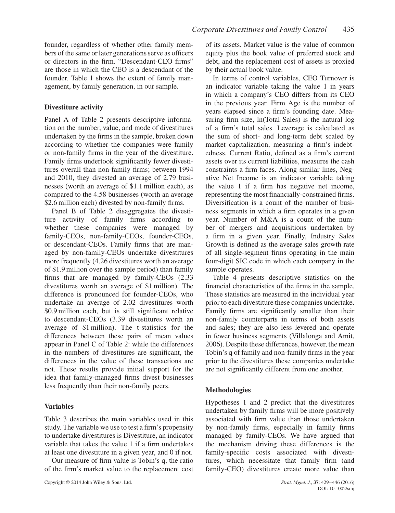founder, regardless of whether other family members of the same or later generations serve as officers or directors in the firm. "Descendant-CEO firms" are those in which the CEO is a descendant of the founder. Table 1 shows the extent of family management, by family generation, in our sample.

# **Divestiture activity**

Panel A of Table 2 presents descriptive information on the number, value, and mode of divestitures undertaken by the firms in the sample, broken down according to whether the companies were family or non-family firms in the year of the divestiture. Family firms undertook significantly fewer divestitures overall than non-family firms; between 1994 and 2010, they divested an average of 2.79 businesses (worth an average of \$1.1 million each), as compared to the 4.58 businesses (worth an average \$2.6 million each) divested by non-family firms.

Panel B of Table 2 disaggregates the divestiture activity of family firms according to whether these companies were managed by family-CEOs, non-family-CEOs, founder-CEOs, or descendant-CEOs. Family firms that are managed by non-family-CEOs undertake divestitures more frequently (4.26 divestitures worth an average of \$1.9 million over the sample period) than family firms that are managed by family-CEOs (2.33 divestitures worth an average of \$1 million). The difference is pronounced for founder-CEOs, who undertake an average of 2.02 divestitures worth \$0.9 million each, but is still significant relative to descendant-CEOs (3.39 divestitures worth an average of \$1 million). The t-statistics for the differences between these pairs of mean values appear in Panel C of Table 2: while the differences in the numbers of divestitures are significant, the differences in the value of these transactions are not. These results provide initial support for the idea that family-managed firms divest businesses less frequently than their non-family peers.

# **Variables**

Table 3 describes the main variables used in this study. The variable we use to test a firm's propensity to undertake divestitures is Divestiture, an indicator variable that takes the value 1 if a firm undertakes at least one divestiture in a given year, and 0 if not.

Our measure of firm value is Tobin's q, the ratio of the firm's market value to the replacement cost of its assets. Market value is the value of common equity plus the book value of preferred stock and debt, and the replacement cost of assets is proxied by their actual book value.

In terms of control variables, CEO Turnover is an indicator variable taking the value 1 in years in which a company's CEO differs from its CEO in the previous year. Firm Age is the number of years elapsed since a firm's founding date. Measuring firm size, ln(Total Sales) is the natural log of a firm's total sales. Leverage is calculated as the sum of short- and long-term debt scaled by market capitalization, measuring a firm's indebtedness. Current Ratio, defined as a firm's current assets over its current liabilities, measures the cash constraints a firm faces. Along similar lines, Negative Net Income is an indicator variable taking the value 1 if a firm has negative net income, representing the most financially-constrained firms. Diversification is a count of the number of business segments in which a firm operates in a given year. Number of M&A is a count of the number of mergers and acquisitions undertaken by a firm in a given year. Finally, Industry Sales Growth is defined as the average sales growth rate of all single-segment firms operating in the main four-digit SIC code in which each company in the sample operates.

Table 4 presents descriptive statistics on the financial characteristics of the firms in the sample. These statistics are measured in the individual year prior to each divestiture these companies undertake. Family firms are significantly smaller than their non-family counterparts in terms of both assets and sales; they are also less levered and operate in fewer business segments (Villalonga and Amit, 2006). Despite these differences, however, the mean Tobin's q of family and non-family firms in the year prior to the divestitures these companies undertake are not significantly different from one another.

# **Methodologies**

Hypotheses 1 and 2 predict that the divestitures undertaken by family firms will be more positively associated with firm value than those undertaken by non-family firms, especially in family firms managed by family-CEOs. We have argued that the mechanism driving these differences is the family-specific costs associated with divestitures, which necessitate that family firm (and family-CEO) divestitures create more value than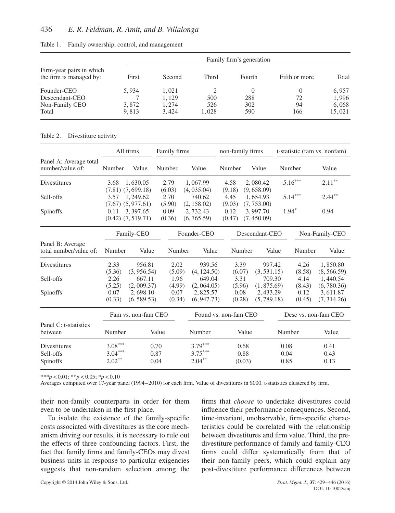|                                                     |       |        |       | Family firm's generation |               |        |
|-----------------------------------------------------|-------|--------|-------|--------------------------|---------------|--------|
| Firm-year pairs in which<br>the firm is managed by: | First | Second | Third | Fourth                   | Fifth or more | Total  |
| Founder-CEO                                         | 5,934 | 1.021  |       |                          | $\theta$      | 6,957  |
| Descendant-CEO                                      |       | 1.129  | 500   | 288                      | 72            | 1,996  |
| Non-Family CEO                                      | 3.872 | 1.274  | 526   | 302                      | 94            | 6,068  |
| Total                                               | 9.813 | 3.424  | 1.028 | 590                      | 166           | 15,021 |

|  |  |  |  |  | Table 1. Family ownership, control, and management |
|--|--|--|--|--|----------------------------------------------------|
|--|--|--|--|--|----------------------------------------------------|

#### Table 2. Divestiture activity

|                                              |                                     | All firms                                                   | Family firms             |                                        |                          | non-family firms                       | t-statistic (fam vs. nonfam) |                                        |
|----------------------------------------------|-------------------------------------|-------------------------------------------------------------|--------------------------|----------------------------------------|--------------------------|----------------------------------------|------------------------------|----------------------------------------|
| Panel A: Average total<br>number/value of:   | Number                              | Value                                                       | Number                   | Value                                  | Number                   | Value                                  | Number                       | Value                                  |
| Divestitures                                 | 3.68                                | 1.630.05                                                    | 2.79                     | 1,067.99                               | 4.58                     | 2,080.42                               | $5.16***$                    | $2.11***$                              |
| Sell-offs                                    | 3.57                                | $(7.81)$ $(7.699.18)$<br>1,249.62                           | (6.03)<br>2.70           | (4, 035.04)<br>740.62                  | (9.18)<br>4.45           | (9,658.09)<br>1.654.93                 | $5.14***$                    | $2.44***$                              |
| Spinoffs                                     | 0.11                                | $(7.67)$ $(5,977.61)$<br>3,397.65<br>$(0.42)$ $(7, 519.71)$ | (5.90)<br>0.09<br>(0.36) | (2, 158.02)<br>2,732.43<br>(6, 765.59) | (9.03)<br>0.12<br>(0.47) | (7, 753.00)<br>3,997.70<br>(7, 450.09) | $1.94*$                      | 0.94                                   |
|                                              |                                     | Family-CEO                                                  |                          | Founder-CEO                            |                          | Descendant-CEO                         |                              | Non-Family-CEO                         |
| Panel B: Average<br>total number/value of:   | Number                              | Value                                                       | Number                   | Value                                  |                          | Number                                 | Value<br>Number              | Value                                  |
| Divestitures                                 | 2.33                                | 956.81                                                      | 2.02                     | 939.56                                 |                          | 3.39<br>997.42                         | 4.26                         | 1,850.80                               |
| Sell-offs                                    | (5.36)<br>2.26<br>(5.25)            | (3, 956.54)<br>667.11<br>(2,009.37)                         | (5.09)<br>1.96<br>(4.99) | (4, 124.50)<br>649.04<br>(2,064.05)    | (6.07)<br>3.31<br>(5.96) | (3, 531.15)<br>709.30<br>(1, 875.69)   | (8.58)<br>4.14<br>(8.43)     | (8, 566.59)<br>1,440.54<br>(6, 780.36) |
| Spinoffs                                     | 0.07<br>(0.33)                      | 2,698.10<br>(6, 589.53)                                     | 0.07<br>(0.34)           | 2,825.57<br>(6, 947.73)                | 0.08<br>(0.28)           | 2,433.29<br>(5, 789.18)                | 0.12<br>(0.45)               | 3,611.87<br>(7, 314.26)                |
|                                              |                                     | Fam vs. non-fam CEO                                         |                          | Found vs. non-fam CEO                  |                          |                                        |                              | Desc vs. non-fam CEO                   |
| Panel C: t-statistics<br>between             | Number                              |                                                             | Value                    | Number                                 |                          | Value                                  | Number                       | Value                                  |
| Divestitures<br>Sell-offs<br><b>Spinoffs</b> | $3.08***$<br>$3.04***$<br>$2.02***$ |                                                             | 0.70<br>0.87<br>0.04     | $3.79***$<br>$3.75***$<br>$2.04***$    |                          | 0.68<br>0.88<br>(0.03)                 | 0.08<br>0.04<br>0.85         | 0.41<br>0.43<br>0.13                   |

\*\*\**p<*0.01; \*\**p<*0.05; \**p<*0.10

Averages computed over 17-year panel (1994–2010) for each firm. Value of divestitures in \$000. t-statistics clustered by firm.

their non-family counterparts in order for them even to be undertaken in the first place.

To isolate the existence of the family-specific costs associated with divestitures as the core mechanism driving our results, it is necessary to rule out the effects of three confounding factors. First, the fact that family firms and family-CEOs may divest business units in response to particular exigencies suggests that non-random selection among the firms that *choose* to undertake divestitures could influence their performance consequences. Second, time-invariant, unobservable, firm-specific characteristics could be correlated with the relationship between divestitures and firm value. Third, the predivestiture performance of family and family-CEO firms could differ systematically from that of their non-family peers, which could explain any post-divestiture performance differences between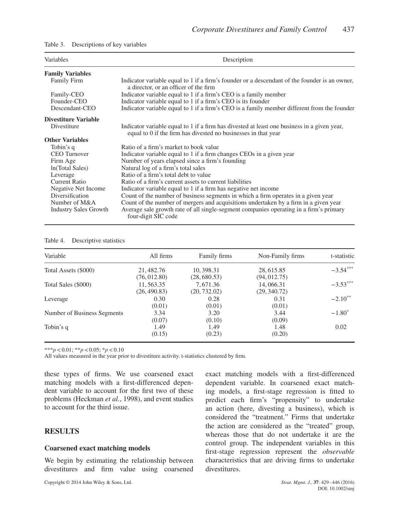#### Table 3. Descriptions of key variables

| Variables                    | Description                                                                                                                                                   |  |  |  |  |
|------------------------------|---------------------------------------------------------------------------------------------------------------------------------------------------------------|--|--|--|--|
| <b>Family Variables</b>      |                                                                                                                                                               |  |  |  |  |
| <b>Family Firm</b>           | Indicator variable equal to 1 if a firm's founder or a descendant of the founder is an owner,<br>a director, or an officer of the firm                        |  |  |  |  |
| Family-CEO                   | Indicator variable equal to 1 if a firm's CEO is a family member                                                                                              |  |  |  |  |
| Founder-CEO                  | Indicator variable equal to 1 if a firm's CEO is its founder                                                                                                  |  |  |  |  |
| Descendant-CEO               | Indicator variable equal to 1 if a firm's CEO is a family member different from the founder                                                                   |  |  |  |  |
| Divestiture Variable         |                                                                                                                                                               |  |  |  |  |
| Divestiture                  | Indicator variable equal to 1 if a firm has divested at least one business in a given year,<br>equal to 0 if the firm has divested no businesses in that year |  |  |  |  |
| <b>Other Variables</b>       |                                                                                                                                                               |  |  |  |  |
| Tobin's q                    | Ratio of a firm's market to book value                                                                                                                        |  |  |  |  |
| <b>CEO</b> Turnover          | Indicator variable equal to 1 if a firm changes CEOs in a given year                                                                                          |  |  |  |  |
| Firm Age                     | Number of years elapsed since a firm's founding                                                                                                               |  |  |  |  |
| ln(Total Sales)              | Natural log of a firm's total sales                                                                                                                           |  |  |  |  |
| Leverage                     | Ratio of a firm's total debt to value                                                                                                                         |  |  |  |  |
| Current Ratio                | Ratio of a firm's current assets to current liabilities                                                                                                       |  |  |  |  |
| Negative Net Income          | Indicator variable equal to 1 if a firm has negative net income                                                                                               |  |  |  |  |
| Diversification              | Count of the number of business segments in which a firm operates in a given year                                                                             |  |  |  |  |
| Number of M&A                | Count of the number of mergers and acquisitions undertaken by a firm in a given year                                                                          |  |  |  |  |
| <b>Industry Sales Growth</b> | Average sale growth rate of all single-segment companies operating in a firm's primary<br>four-digit SIC code                                                 |  |  |  |  |

#### Table 4. Descriptive statistics

| Variable                    | All firms                  | Family firms               | Non-Family firms           | t-statistic |
|-----------------------------|----------------------------|----------------------------|----------------------------|-------------|
| Total Assets (\$000)        | 21, 482.76<br>(76, 012.80) | 10, 398.31<br>(28, 680.53) | 28, 615.85<br>(94, 012.75) | $-3.54***$  |
| Total Sales (\$000)         | 11,563.35<br>(26, 490.83)  | 7.671.36<br>(20, 732.02)   | 14,066.31<br>(29, 340.72)  | $-3.53***$  |
| Leverage                    | 0.30<br>(0.01)             | 0.28<br>(0.01)             | 0.31<br>(0.01)             | $-2.10**$   |
| Number of Business Segments | 3.34<br>(0.07)             | 3.20<br>(0.10)             | 3.44<br>(0.09)             | $-1.80^*$   |
| Tobin's q                   | 1.49<br>(0.15)             | 1.49<br>(0.23)             | 1.48<br>(0.20)             | 0.02        |

\*\*\**p<*0.01; \*\**p<*0.05; \**p<*0.10

All values measured in the year prior to divestiture activity. t-statistics clustered by firm.

these types of firms. We use coarsened exact matching models with a first-differenced dependent variable to account for the first two of these problems (Heckman *et al.*, 1998), and event studies to account for the third issue.

# **RESULTS**

### **Coarsened exact matching models**

We begin by estimating the relationship between divestitures and firm value using coarsened exact matching models with a first-differenced dependent variable. In coarsened exact matching models, a first-stage regression is fitted to predict each firm's "propensity" to undertake an action (here, divesting a business), which is considered the "treatment." Firms that undertake the action are considered as the "treated" group, whereas those that do not undertake it are the control group. The independent variables in this first-stage regression represent the *observable* characteristics that are driving firms to undertake divestitures.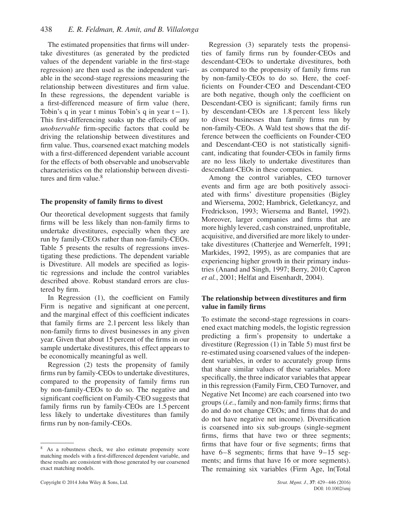The estimated propensities that firms will undertake divestitures (as generated by the predicted values of the dependent variable in the first-stage regression) are then used as the independent variable in the second-stage regressions measuring the relationship between divestitures and firm value. In these regressions, the dependent variable is a first-differenced measure of firm value (here, Tobin's q in year t minus Tobin's q in year  $t-1$ ). This first-differencing soaks up the effects of any *unobservable* firm-specific factors that could be driving the relationship between divestitures and firm value. Thus, coarsened exact matching models with a first-differenced dependent variable account for the effects of both observable and unobservable characteristics on the relationship between divestitures and firm value. $8$ 

### **The propensity of family firms to divest**

Our theoretical development suggests that family firms will be less likely than non-family firms to undertake divestitures, especially when they are run by family-CEOs rather than non-family-CEOs. Table 5 presents the results of regressions investigating these predictions. The dependent variable is Divestiture. All models are specified as logistic regressions and include the control variables described above. Robust standard errors are clustered by firm.

In Regression (1), the coefficient on Family Firm is negative and significant at one percent, and the marginal effect of this coefficient indicates that family firms are 2.1 percent less likely than non-family firms to divest businesses in any given year. Given that about 15 percent of the firms in our sample undertake divestitures, this effect appears to be economically meaningful as well.

Regression (2) tests the propensity of family firms run by family-CEOs to undertake divestitures, compared to the propensity of family firms run by non-family-CEOs to do so. The negative and significant coefficient on Family-CEO suggests that family firms run by family-CEOs are 1.5 percent less likely to undertake divestitures than family firms run by non-family-CEOs.

Copyright © 2014 John Wiley & Sons, Ltd. *Strat. Mgmt. J.*, **37**: 429–446 (2016)

Regression (3) separately tests the propensities of family firms run by founder-CEOs and descendant-CEOs to undertake divestitures, both as compared to the propensity of family firms run by non-family-CEOs to do so. Here, the coefficients on Founder-CEO and Descendant-CEO are both negative, though only the coefficient on Descendant-CEO is significant; family firms run by descendant-CEOs are 1.8 percent less likely to divest businesses than family firms run by non-family-CEOs. A Wald test shows that the difference between the coefficients on Founder-CEO and Descendant-CEO is not statistically significant, indicating that founder-CEOs in family firms are no less likely to undertake divestitures than descendant-CEOs in these companies.

Among the control variables, CEO turnover events and firm age are both positively associated with firms' divestiture propensities (Bigley and Wiersema, 2002; Hambrick, Geletkancyz, and Fredrickson, 1993; Wiersema and Bantel, 1992). Moreover, larger companies and firms that are more highly levered, cash constrained, unprofitable, acquisitive, and diversified are more likely to undertake divestitures (Chatterjee and Wernerfelt, 1991; Markides, 1992, 1995), as are companies that are experiencing higher growth in their primary industries (Anand and Singh, 1997; Berry, 2010; Capron *et al.*, 2001; Helfat and Eisenhardt, 2004).

### **The relationship between divestitures and firm value in family firms**

To estimate the second-stage regressions in coarsened exact matching models, the logistic regression predicting a firm's propensity to undertake a divestiture (Regression (1) in Table 5) must first be re-estimated using coarsened values of the independent variables, in order to accurately group firms that share similar values of these variables. More specifically, the three indicator variables that appear in this regression (Family Firm, CEO Turnover, and Negative Net Income) are each coarsened into two groups (*i.e.*, family and non-family firms; firms that do and do not change CEOs; and firms that do and do not have negative net income). Diversification is coarsened into six sub-groups (single-segment firms, firms that have two or three segments; firms that have four or five segments; firms that have  $6-8$  segments; firms that have  $9-15$  segments; and firms that have 16 or more segments). The remaining six variables (Firm Age, ln(Total

<sup>8</sup> As a robustness check, we also estimate propensity score matching models with a first-differenced dependent variable, and these results are consistent with those generated by our coarsened exact matching models.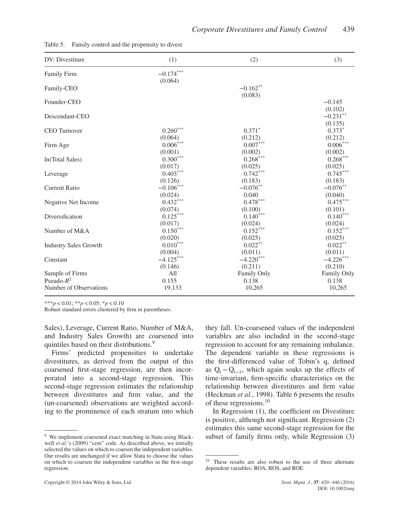| DV: Divestiture              | (1)                    | (2)           | (3)                               |
|------------------------------|------------------------|---------------|-----------------------------------|
| <b>Family Firm</b>           | $-0.174***$<br>(0.064) |               |                                   |
| Family-CEO                   |                        | $-0.162**$    |                                   |
| Founder-CEO                  |                        | (0.083)       | $-0.145$                          |
| Descendant-CEO               |                        |               | (0.102)<br>$-0.231**$<br>(0.135)  |
| <b>CEO</b> Turnover          | $0.260***$             | $0.371*$      | $0.373*$                          |
|                              | (0.064)                | (0.212)       | (0.212)                           |
| Firm Age                     | $0.006^{\ast\ast\ast}$ | $0.007^{***}$ | $0.006\ensuremath{^{***}}\xspace$ |
|                              | (0.001)                | (0.002)       | (0.002)                           |
| In(Total Sales)              | $0.300***$             | $0.268***$    | $0.268^{\ast\ast\ast}$            |
| Leverage                     | (0.017)                | (0.025)       | (0.025)                           |
|                              | $0.403***$             | $0.742***$    | $0.745***$                        |
|                              | (0.126)                | (0.183)       | (0.183)                           |
| <b>Current Ratio</b>         | $-0.106***$            | $-0.076***$   | $-0.076***$                       |
|                              | (0.024)                | 0.040         | (0.040)                           |
| Negative Net Income          | $0.432***$             | $0.478***$    | $0.475***$                        |
|                              | (0.074)                | (0.100)       | (0.101)                           |
| Diversification              | $0.125***$             | $0.140***$    | $0.140^{\ast\ast\ast}$            |
|                              | (0.017)                | (0.024)       | (0.024)                           |
| Number of M&A                | $0.150***$             | $0.152***$    | $0.152***$                        |
|                              | (0.020)                | (0.025)       | (0.025)                           |
| <b>Industry Sales Growth</b> | $0.010***$             | $0.022***$    | $0.022***$                        |
|                              | (0.004)                | (0.011)       | (0.011)                           |
| Constant                     | $-4.125***$            | $-4.220***$   | $-4.226***$                       |
|                              | (0.146)                | (0.211)       | (0.210)                           |
| Sample of Firms              | All                    | Family Only   | Family Only                       |
| Pseudo- $R^2$                | 0.155                  | 0.138         | 0.138                             |
| Number of Observations       | 19,133                 | 10,265        | 10,265                            |

Table 5. Family control and the propensity to divest

\*\*\**p<*0.01; \*\**p<*0.05; \**p<*0.10

Robust standard errors clustered by firm in parentheses.

Sales), Leverage, Current Ratio, Number of M&A, and Industry Sales Growth) are coarsened into quintiles based on their distributions.<sup>9</sup>

Firms' predicted propensities to undertake divestitures, as derived from the output of this coarsened first-stage regression, are then incorporated into a second-stage regression. This second-stage regression estimates the relationship between divestitures and firm value, and the (un-coarsened) observations are weighted according to the prominence of each stratum into which

they fall. Un-coarsened values of the independent variables are also included in the second-stage regression to account for any remaining imbalance. The dependent variable in these regressions is the first-differenced value of Tobin's q, defined as  $Q_t - Q_{t-1}$ , which again soaks up the effects of time-invariant, firm-specific characteristics on the relationship between divestitures and firm value (Heckman *et al.*, 1998). Table 6 presents the results of these regressions.<sup>10</sup>

In Regression (1), the coefficient on Divestiture is positive, although not significant. Regression (2) estimates this same second-stage regression for the subset of family firms only, while Regression (3)

<sup>&</sup>lt;sup>9</sup> We implement coarsened exact matching in Stata using Blackwell *et al.*'s (2009) "cem" code. As described above, we initially selected the values on which to coarsen the independent variables. Our results are unchanged if we allow Stata to choose the values on which to coarsen the independent variables in the first-stage regression.

<sup>10</sup> These results are also robust to the use of three alternate dependent variables: ROA, ROS, and ROE.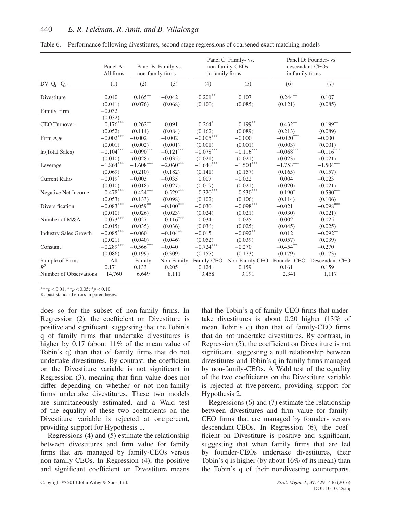|                              | Panel A:<br>All firms  | non-family firms        | Panel B: Family vs.     | in family firms         | Panel C: Family- vs.<br>non-family-CEOs | descendant-CEOs<br>in family firms | Panel D: Founder- vs. |
|------------------------------|------------------------|-------------------------|-------------------------|-------------------------|-----------------------------------------|------------------------------------|-----------------------|
| DV: $Q_t - Q_{t-1}$          | (1)                    | (2)                     | (3)                     | (4)                     | (5)                                     | (6)                                | (7)                   |
| Divestiture                  | 0.040                  | $0.165***$              | $-0.042$                | $0.201**$               | 0.107                                   | $0.244**$                          | 0.107                 |
|                              | (0.041)                | (0.076)                 | (0.068)                 | (0.100)                 | (0.085)                                 | (0.121)                            | (0.085)               |
| Family Firm                  | $-0.032$<br>(0.032)    |                         |                         |                         |                                         |                                    |                       |
| <b>CEO</b> Turnover          | $0.176***$             | $0.262**$               | 0.091                   | $0.264*$                | $0.199***$                              | $0.432***$                         | $0.199**$             |
|                              | (0.052)                | (0.114)                 | (0.084)                 | (0.162)                 | (0.089)                                 | (0.213)                            | (0.089)               |
| Firm Age                     | $-0.002^{***}\,$       | $-0.002$                | $-0.002$                | $-0.005***$             | $-0.000$                                | $-0.020***$                        | $-0.000$              |
|                              | (0.001)                | (0.002)                 | (0.001)                 | (0.001)                 | (0.001)                                 | (0.003)                            | (0.001)               |
| In(Total Sales)              | $-0.104^{***}\,$       | $-0.090***$             | $-0.121^{\ast\ast\ast}$ | $-0.078^{\ast\ast\ast}$ | $-0.116***$                             | $-0.068***$                        | $-0.116***$           |
|                              | (0.010)                | (0.028)                 | (0.035)                 | (0.021)                 | (0.021)                                 | (0.023)                            | (0.021)               |
| Leverage                     | $-1.864***$            | $-1.608^{\ast\ast\ast}$ | $-2.060***$             | $-1.640***$             | $-1.504***$                             | $-1.753***$                        | $-1.504***$           |
|                              | (0.069)                | (0.210)                 | (0.182)                 | (0.141)                 | (0.157)                                 | (0.165)                            | (0.157)               |
| <b>Current Ratio</b>         | $-0.019*$              | $-0.003$                | $-0.035$                | 0.007                   | $-0.022$                                | 0.004                              | $-0.023$              |
|                              | (0.010)                | (0.018)                 | (0.027)                 | (0.019)                 | (0.021)                                 | (0.020)                            | (0.021)               |
| Negative Net Income          | $0.478^{\ast\ast\ast}$ | $0.424***$              | $0.529***$              | $0.320***$              | $0.530^{\ast\ast\ast}$                  | $0.190*$                           | $0.530***$            |
|                              | (0.053)                | (0.133)                 | (0.098)                 | (0.102)                 | (0.106)                                 | (0.114)                            | (0.106)               |
| Diversification              | $-0.083***$            | $-0.059**$              | $-0.100^{***}\,$        | $-0.030$                | $-0.098^{\ast\ast\ast}$                 | $-0.021$                           | $-0.098***$           |
|                              | (0.010)                | (0.026)                 | (0.023)                 | (0.024)                 | (0.021)                                 | (0.030)                            | (0.021)               |
| Number of M&A                | $0.073***$             | 0.027                   | $0.116***$              | 0.034                   | 0.025                                   | $-0.002$                           | 0.025                 |
|                              | (0.015)                | (0.035)                 | (0.036)                 | (0.036)                 | (0.025)                                 | (0.045)                            | (0.025)               |
| <b>Industry Sales Growth</b> | $-0.085***$            | $-0.060$                | $-0.104**$              | $-0.015$                | $-0.092**$                              | 0.012                              | $-0.092**$            |
|                              | (0.021)                | (0.040)                 | (0.046)                 | (0.052)                 | (0.039)                                 | (0.057)                            | (0.039)               |
| Constant                     | $-0.289***$            | $-0.566***$             | $-0.040$                | $-0.724***$             | $-0.270$                                | $-0.454**$                         | $-0.270$              |
|                              | (0.086)                | (0.199)                 | (0.309)                 | (0.157)                 | (0.173)                                 | (0.179)                            | (0.173)               |
| Sample of Firms              | All                    | Family                  | Non-Family              | Family-CEO              | Non-Family CEO                          | Founder-CEO                        | Descendant-CEO        |
| $R^2$                        | 0.171                  | 0.133                   | 0.205                   | 0.124                   | 0.159                                   | 0.161                              | 0.159                 |
| Number of Observations       | 14,760                 | 6,649                   | 8,111                   | 3,458                   | 3,191                                   | 2,341                              | 1,117                 |

Table 6. Performance following divestitures, second-stage regressions of coarsened exact matching models

\*\*\**p<*0.01; \*\**p<*0.05; \**p<*0.10

Robust standard errors in parentheses.

does so for the subset of non-family firms. In Regression (2), the coefficient on Divestiture is positive and significant, suggesting that the Tobin's q of family firms that undertake divestitures is higher by 0.17 (about 11% of the mean value of Tobin's q) than that of family firms that do not undertake divestitures. By contrast, the coefficient on the Divestiture variable is not significant in Regression (3), meaning that firm value does not differ depending on whether or not non-family firms undertake divestitures. These two models are simultaneously estimated, and a Wald test of the equality of these two coefficients on the Divestiture variable is rejected at one percent, providing support for Hypothesis 1.

Regressions (4) and (5) estimate the relationship between divestitures and firm value for family firms that are managed by family-CEOs versus non-family-CEOs. In Regression (4), the positive and significant coefficient on Divestiture means that the Tobin's q of family-CEO firms that undertake divestitures is about 0.20 higher (13% of mean Tobin's q) than that of family-CEO firms that do not undertake divestitures. By contrast, in Regression (5), the coefficient on Divestiture is not significant, suggesting a null relationship between divestitures and Tobin's q in family firms managed by non-family-CEOs. A Wald test of the equality of the two coefficients on the Divestiture variable is rejected at five percent, providing support for Hypothesis 2.

Regressions (6) and (7) estimate the relationship between divestitures and firm value for family-CEO firms that are managed by founder- versus descendant-CEOs. In Regression (6), the coefficient on Divestiture is positive and significant, suggesting that when family firms that are led by founder-CEOs undertake divestitures, their Tobin's q is higher (by about 16% of its mean) than the Tobin's q of their nondivesting counterparts.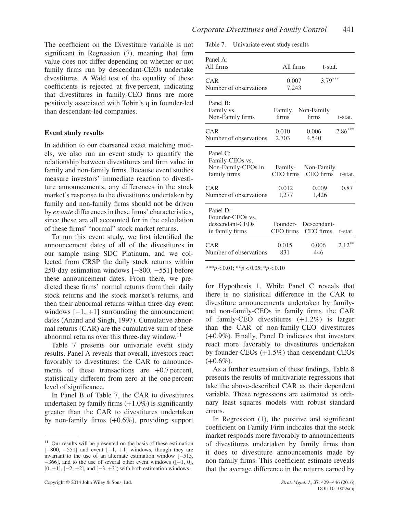The coefficient on the Divestiture variable is not significant in Regression (7), meaning that firm value does not differ depending on whether or not family firms run by descendant-CEOs undertake divestitures. A Wald test of the equality of these coefficients is rejected at five percent, indicating that divestitures in family-CEO firms are more positively associated with Tobin's q in founder-led than descendant-led companies.

### **Event study results**

In addition to our coarsened exact matching models, we also run an event study to quantify the relationship between divestitures and firm value in family and non-family firms. Because event studies measure investors' immediate reaction to divestiture announcements, any differences in the stock market's response to the divestitures undertaken by family and non-family firms should not be driven by *ex ante* differences in these firms' characteristics, since these are all accounted for in the calculation of these firms' "normal" stock market returns.

To run this event study, we first identified the announcement dates of all of the divestitures in our sample using SDC Platinum, and we collected from CRSP the daily stock returns within 250-day estimation windows [−800, −551] before these announcement dates. From there, we predicted these firms' normal returns from their daily stock returns and the stock market's returns, and then their abnormal returns within three-day event windows  $[-1, +1]$  surrounding the announcement dates (Anand and Singh, 1997). Cumulative abnormal returns (CAR) are the cumulative sum of these abnormal returns over this three-day window.<sup>11</sup>

Table 7 presents our univariate event study results. Panel A reveals that overall, investors react favorably to divestitures: the CAR to announcements of these transactions are  $+0.7$  percent, statistically different from zero at the one percent level of significance.

In Panel B of Table 7, the CAR to divestitures undertaken by family firms  $(+1.0\%)$  is significantly greater than the CAR to divestitures undertaken by non-family firms (+0.6%), providing support

Table 7. Univariate event study results

| Panel A:<br>All firms                                              | All firms             | t-stat.                         |           |
|--------------------------------------------------------------------|-----------------------|---------------------------------|-----------|
| CAR<br>Number of observations                                      | 0.007<br>7,243        | $3.79***$                       |           |
| Panel B:<br>Family vs.<br>Non-Family firms                         | firms                 | Family Non-Family<br>firms      | t-stat.   |
| CAR<br>Number of observations                                      | 0.010<br>2,703        | 0.006<br>4,540                  | $2.86***$ |
| Panel C:<br>Family-CEOs vs.<br>Non-Family-CEOs in<br>family firms  | CEO firms             | Family- Non-Family<br>CEO firms | t-stat.   |
| CAR<br>Number of observations                                      | 0.012<br>1.277        | 0.009<br>1,426                  | 0.87      |
| Panel D:<br>Founder-CEOs vs.<br>descendant-CEOs<br>in family firms | Founder-<br>CEO firms | Descendant-<br>CEO firms        | t-stat.   |
| CAR<br>Number of observations                                      | 0.015<br>831          | 0.006<br>446                    | $2.12***$ |

\*\*\**p<*0.01; \*\**p<*0.05; \**p<*0.10

for Hypothesis 1. While Panel C reveals that there is no statistical difference in the CAR to divestiture announcements undertaken by familyand non-family-CEOs in family firms, the CAR of family-CEO divestitures (+1.2%) is larger than the CAR of non-family-CEO divestitures (+0.9%). Finally, Panel D indicates that investors react more favorably to divestitures undertaken by founder-CEOs (+1.5%) than descendant-CEOs  $(+0.6\%).$ 

As a further extension of these findings, Table 8 presents the results of multivariate regressions that take the above-described CAR as their dependent variable. These regressions are estimated as ordinary least squares models with robust standard errors.

In Regression (1), the positive and significant coefficient on Family Firm indicates that the stock market responds more favorably to announcements of divestitures undertaken by family firms than it does to divestiture announcements made by non-family firms. This coefficient estimate reveals that the average difference in the returns earned by

 $11$  Our results will be presented on the basis of these estimation  $[-800, -551]$  and event  $[-1, +1]$  windows, though they are invariant to the use of an alternate estimation window [−515,  $-366$ ], and to the use of several other event windows ([ $-1$ , 0],  $[0, +1]$ ,  $[-2, +2]$ , and  $[-3, +3]$ ) with both estimation windows.

Copyright © 2014 John Wiley & Sons, Ltd. *Strat. Mgmt. J.*, **37**: 429–446 (2016)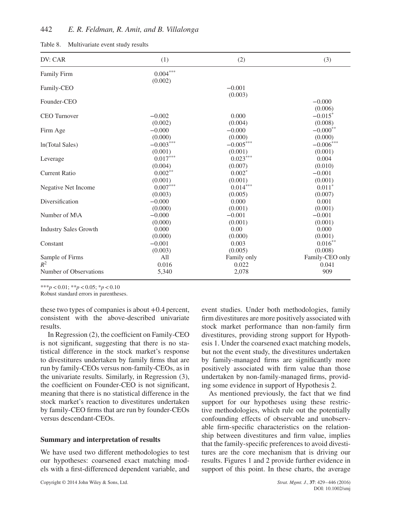### 442 *E. R. Feldman, R. Amit, and B. Villalonga*

| Table 8. | Multivariate event study results |  |  |  |
|----------|----------------------------------|--|--|--|
|----------|----------------------------------|--|--|--|

| DV: CAR                      | (1)                        | (2)                 | (3)                 |
|------------------------------|----------------------------|---------------------|---------------------|
| Family Firm                  | $0.004\sp{***}$<br>(0.002) |                     |                     |
| Family-CEO                   |                            | $-0.001$<br>(0.003) |                     |
| Founder-CEO                  |                            |                     | $-0.000$<br>(0.006) |
| CEO Turnover                 | $-0.002$                   | 0.000               | $-0.015*$           |
|                              | (0.002)                    | (0.004)             | (0.008)             |
| Firm Age                     | $-0.000$                   | $-0.000$            | $-0.000$ **         |
|                              | (0.000)                    | (0.000)             | (0.000)             |
| ln(Total Sales)              | $-0.003***$                | $-0.005***$         | $-0.006***$         |
|                              | (0.001)                    | (0.001)             | (0.001)             |
| Leverage                     | $0.017***$                 | $0.023***$          | 0.004               |
|                              | (0.004)                    | (0.007)             | (0.010)             |
| <b>Current Ratio</b>         | $0.002**$                  | $0.002*$            | $-0.001$            |
|                              | (0.001)                    | (0.001)             | (0.001)             |
| Negative Net Income          | $0.007^{\ast\ast\ast}$     | $0.014***$          | $0.011*$            |
|                              | (0.003)                    | (0.005)             | (0.007)             |
| Diversification              | $-0.000$                   | 0.000               | 0.001               |
|                              | (0.000)                    | (0.001)             | (0.001)             |
| Number of M\A                | $-0.000$                   | $-0.001$            | $-0.001$            |
|                              | (0.000)                    | (0.001)             | (0.001)             |
| <b>Industry Sales Growth</b> | 0.000                      | 0.00                | 0.000               |
|                              | (0.000)                    | (0.000)             | (0.001)             |
| Constant                     | $-0.001$                   | 0.003               | $0.016***$          |
|                              | (0.003)                    | (0.005)             | (0.008)             |
| Sample of Firms              | All                        | Family only         | Family-CEO only     |
| $R^2$                        | 0.016                      | 0.022               | 0.041               |
| Number of Observations       | 5,340                      | 2,078               | 909                 |

\*\*\**p<*0.01; \*\**p<*0.05; \**p<*0.10

Robust standard errors in parentheses.

these two types of companies is about +0.4 percent, consistent with the above-described univariate results.

In Regression (2), the coefficient on Family-CEO is not significant, suggesting that there is no statistical difference in the stock market's response to divestitures undertaken by family firms that are run by family-CEOs versus non-family-CEOs, as in the univariate results. Similarly, in Regression (3), the coefficient on Founder-CEO is not significant, meaning that there is no statistical difference in the stock market's reaction to divestitures undertaken by family-CEO firms that are run by founder-CEOs versus descendant-CEOs.

### **Summary and interpretation of results**

We have used two different methodologies to test our hypotheses: coarsened exact matching models with a first-differenced dependent variable, and event studies. Under both methodologies, family firm divestitures are more positively associated with stock market performance than non-family firm divestitures, providing strong support for Hypothesis 1. Under the coarsened exact matching models, but not the event study, the divestitures undertaken by family-managed firms are significantly more positively associated with firm value than those undertaken by non-family-managed firms, providing some evidence in support of Hypothesis 2.

As mentioned previously, the fact that we find support for our hypotheses using these restrictive methodologies, which rule out the potentially confounding effects of observable and unobservable firm-specific characteristics on the relationship between divestitures and firm value, implies that the family-specific preferences to avoid divestitures are the core mechanism that is driving our results. Figures 1 and 2 provide further evidence in support of this point. In these charts, the average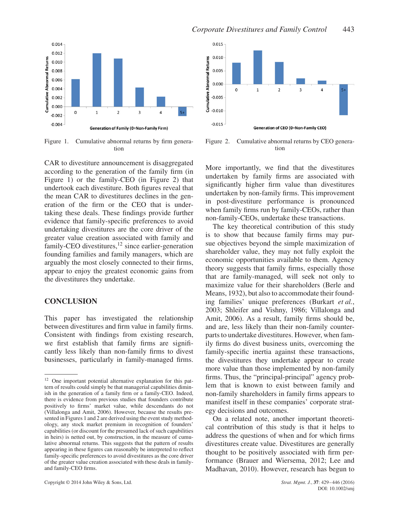

Figure 1. Cumulative abnormal returns by firm generation

CAR to divestiture announcement is disaggregated according to the generation of the family firm (in Figure 1) or the family-CEO (in Figure 2) that undertook each divestiture. Both figures reveal that the mean CAR to divestitures declines in the generation of the firm or the CEO that is undertaking these deals. These findings provide further evidence that family-specific preferences to avoid undertaking divestitures are the core driver of the greater value creation associated with family and family-CEO divestitures,  $12$  since earlier-generation founding families and family managers, which are arguably the most closely connected to their firms, appear to enjoy the greatest economic gains from the divestitures they undertake.

### **CONCLUSION**

This paper has investigated the relationship between divestitures and firm value in family firms. Consistent with findings from existing research, we first establish that family firms are significantly less likely than non-family firms to divest businesses, particularly in family-managed firms.



Figure 2. Cumulative abnormal returns by CEO generation

More importantly, we find that the divestitures undertaken by family firms are associated with significantly higher firm value than divestitures undertaken by non-family firms. This improvement in post-divestiture performance is pronounced when family firms run by family-CEOs, rather than non-family-CEOs, undertake these transactions.

The key theoretical contribution of this study is to show that because family firms may pursue objectives beyond the simple maximization of shareholder value, they may not fully exploit the economic opportunities available to them. Agency theory suggests that family firms, especially those that are family-managed, will seek not only to maximize value for their shareholders (Berle and Means, 1932), but also to accommodate their founding families' unique preferences (Burkart *et al.*, 2003; Shleifer and Vishny, 1986; Villalonga and Amit, 2006). As a result, family firms should be, and are, less likely than their non-family counterparts to undertake divestitures. However, when family firms do divest business units, overcoming the family-specific inertia against these transactions, the divestitures they undertake appear to create more value than those implemented by non-family firms. Thus, the "principal-principal" agency problem that is known to exist between family and non-family shareholders in family firms appears to manifest itself in these companies' corporate strategy decisions and outcomes.

On a related note, another important theoretical contribution of this study is that it helps to address the questions of when and for which firms divestitures create value. Divestitures are generally thought to be positively associated with firm performance (Brauer and Wiersema, 2012; Lee and Madhavan, 2010). However, research has begun to

<sup>&</sup>lt;sup>12</sup> One important potential alternative explanation for this pattern of results could simply be that managerial capabilities diminish in the generation of a family firm or a family-CEO. Indeed, there is evidence from previous studies that founders contribute positively to firms' market value, while descendants do not (Villalonga and Amit, 2006). However, because the results presented in Figures 1 and 2 are derived using the event study methodology, any stock market premium in recognition of founders' capabilities (or discount for the presumed lack of such capabilities in heirs) is netted out, by construction, in the measure of cumulative abnormal returns. This suggests that the pattern of results appearing in these figures can reasonably be interpreted to reflect family-specific preferences to avoid divestitures as the core driver of the greater value creation associated with these deals in familyand family-CEO firms.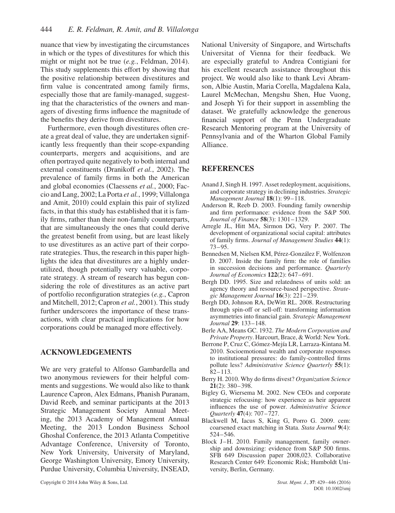nuance that view by investigating the circumstances in which or the types of divestitures for which this might or might not be true (*e.g.*, Feldman, 2014). This study supplements this effort by showing that the positive relationship between divestitures and firm value is concentrated among family firms, especially those that are family-managed, suggesting that the characteristics of the owners and managers of divesting firms influence the magnitude of the benefits they derive from divestitures.

Furthermore, even though divestitures often create a great deal of value, they are undertaken significantly less frequently than their scope-expanding counterparts, mergers and acquisitions, and are often portrayed quite negatively to both internal and external constituents (Dranikoff *et al.*, 2002). The prevalence of family firms in both the American and global economies (Claessens *et al.*, 2000; Faccio and Lang, 2002; La Porta *et al.*, 1999; Villalonga and Amit, 2010) could explain this pair of stylized facts, in that this study has established that it is family firms, rather than their non-family counterparts, that are simultaneously the ones that could derive the greatest benefit from using, but are least likely to use divestitures as an active part of their corporate strategies. Thus, the research in this paper highlights the idea that divestitures are a highly underutilized, though potentially very valuable, corporate strategy. A stream of research has begun considering the role of divestitures as an active part of portfolio reconfiguration strategies (*e.g.*, Capron and Mitchell, 2012; Capron *et al.*, 2001). This study further underscores the importance of these transactions, with clear practical implications for how corporations could be managed more effectively.

# **ACKNOWLEDGEMENTS**

We are very grateful to Alfonso Gambardella and two anonymous reviewers for their helpful comments and suggestions. We would also like to thank Laurence Capron, Alex Edmans, Phanish Puranam, David Reeb, and seminar participants at the 2013 Strategic Management Society Annual Meeting, the 2013 Academy of Management Annual Meeting, the 2013 London Business School Ghoshal Conference, the 2013 Atlanta Competitive Advantage Conference, University of Toronto, New York University, University of Maryland, George Washington University, Emory University, Purdue University, Columbia University, INSEAD, National University of Singapore, and Wirtschafts Universitat of Vienna for their feedback. We are especially grateful to Andrea Contigiani for his excellent research assistance throughout this project. We would also like to thank Levi Abramson, Albie Austin, Maria Corella, Magdalena Kala, Laurel McMechan, Mengshu Shen, Hue Vuong, and Joseph Yi for their support in assembling the dataset. We gratefully acknowledge the generous financial support of the Penn Undergraduate Research Mentoring program at the University of Pennsylvania and of the Wharton Global Family Alliance.

# **REFERENCES**

- Anand J, Singh H. 1997. Asset redeployment, acquisitions, and corporate strategy in declining industries. *Strategic Management Journal* **18**(1): 99–118.
- Anderson R, Reeb D. 2003. Founding family ownership and firm performance: evidence from the S&P 500. *Journal of Finance* **58**(3): 1301–1329.
- Arregle JL, Hitt MA, Sirmon DG, Very P. 2007. The development of organizational social capital: attributes of family firms. *Journal of Management Studies* **44**(1): 73–95.
- Bennedsen M, Nielsen KM, Pérez-González F, Wolfenzon D. 2007. Inside the family firm: the role of families in succession decisions and performance. *Quarterly Journal of Economics* **122**(2): 647–691.
- Bergh DD. 1995. Size and relatedness of units sold: an agency theory and resource-based perspective. *Strategic Management Journal* **16**(3): 221–239.
- Bergh DD, Johnson RA, DeWitt RL. 2008. Restructuring through spin-off or sell-off: transforming information asymmetries into financial gain. *Strategic Management Journal* **29**: 133–148.
- Berle AA, Means GC. 1932. *The Modern Corporation and Private Property*. Harcourt, Brace, & World: New York.
- Berrone P, Cruz C, Gómez-Mejía LR, Larraza-Kintana M. 2010. Socioemotional wealth and corporate responses to institutional pressures: do family-controlled firms pollute less? *Administrative Science Quarterly* **55**(1): 82–113.
- Berry H. 2010. Why do firms divest? *Organization Science* **21**(2): 380–398.
- Bigley G, Wiersema M. 2002. New CEOs and corporate strategic refocusing: how experience as heir apparent influences the use of power. *Administrative Science Quarterly* **47**(4): 707–727.
- Blackwell M, Iacus S, King G, Porro G. 2009. cem: coarsened exact matching in Stata. *Stata Journal* **9**(4): 524–546.
- Block J–H. 2010. Family management, family ownership and downsizing: evidence from S&P 500 firms. SFB 649 Discussion paper 2008,023. Collaborative Research Center 649: Economic Risk; Humboldt University, Berlin, Germany.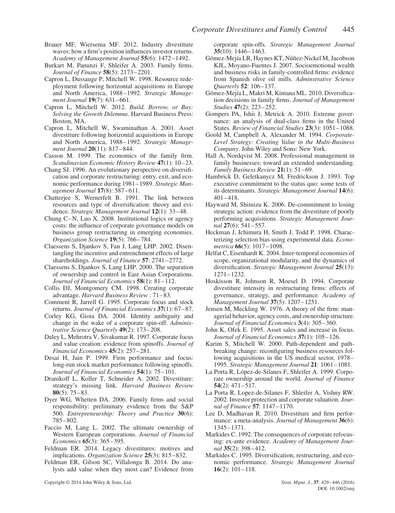- Brauer MF, Wiersema MF. 2012. Industry divestiture waves: how a firm's position influences investor returns. *Academy of Management Journal* **55**(6): 1472–1492.
- Burkart M, Panunzi F, Shleifer A. 2003. Family firms. *Journal of Finance* **58**(5): 2173–2201.
- Capron L, Dussauge P, Mitchell W. 1998. Resource redeployment following horizontal acquisitions in Europe and North America, 1988–1992. *Strategic Management Journal* **19**(7): 631–661.
- Capron L, Mitchell W. 2012. *Build, Borrow, or Buy: Solving the Growth Dilemma*. Harvard Business Press: Boston, MA.
- Capron L, Mitchell W, Swaminathan A. 2001. Asset divestiture following horizontal acquisitions in Europe and North America, 1988–1992. *Strategic Management Journal* **20**(11): 817–844.
- Casson M. 1999. The economics of the family firm. *Scandinavian Economic History Review* **47**(1): 10–23.
- Chang SJ. 1996. An evolutionary perspective on diversification and corporate restructuring: entry, exit, and economic performance during 1981–1989. *Strategic Management Journal* **17**(8): 587–611.
- Chatterjee S, Wernerfelt B. 1991. The link between resources and type of diversification: theory and evidence. *Strategic Management Journal* **12**(1): 33–48.
- Chung C–N, Luo X. 2008. Institutional logics or agency costs: the influence of corporate governance models on business group restructuring in emerging economies. *Organization Science* **19**(5): 766–784.
- Claessens S, Djankov S, Fan J, Lang LHP. 2002. Disentangling the incentive and entrenchment effects of large shareholdings. *Journal of Finance* **57**: 2741–2772.
- Claessens S, Djankov S, Lang LHP. 2000. The separation of ownership and control in East Asian Corporations. *Journal of Financial Economics* **58**(1): 81–112.
- Collis DJ, Montgomery CM. 1998. Creating corporate advantage. *Harvard Business Review* : 71–83.
- Comment R, Jarrell G. 1995. Corporate focus and stock returns. *Journal of Financial Economics* **37**(1): 67–87.
- Corley KG, Gioia DA. 2004. Identity ambiguity and change in the wake of a corporate spin-off. *Administrative Science Quarterly* **49**(2): 173–208.
- Daley L, Mehrotra V, Sivakumar R. 1997. Corporate focus and value creation: evidence from spinoffs. *Journal of Financial Economics* **45**(2): 257–281.
- Desai H, Jain P. 1999. Firm performance and focus: long-run stock market performance following spinoffs. *Journal of Financial Economics* **54**(1): 75–101.
- Dranikoff L, Koller T, Schneider A. 2002. Divestiture: strategy's missing link. *Harvard Business Review* **80**(5): 75–83.
- Dyer WG, Whetten DA. 2006. Family firms and social responsibility: preliminary evidence from the S&P 500. *Entrepreneurship: Theory and Practice* **30**(6): 785–802.
- Faccio M, Lang L. 2002. The ultimate ownership of Western European corporations. *Journal of Financial Economics* **65**(3): 365–395.
- Feldman ER. 2014. Legacy divestitures: motives and implications. *Organization Science* **25**(3): 815–832.
- Feldman ER, Gilson SC, Villalonga B. 2014. Do analysts add value when they most can? Evidence from

corporate spin-offs. *Strategic Management Journal* **35**(10): 1446–1463.

- Gómez-Mejía LR, Haynes KT, Núñez-Nickel M, Jacobson KJL, Moyano-Fuentes J. 2007. Socioemotional wealth and business risks in family-controlled firms: evidence from Spanish olive oil mills. *Adminstrative Science Quarterly* **52**: 106–137.
- Gómez-Mejía L, Makri M, Kintana ML. 2010. Diversification decisions in family firms. *Journal of Management Studies* **47**(2): 223–252.
- Gompers PA, Ishii J, Metrick A. 2010. Extreme governance: an analysis of dual-class firms in the United States. *Review of Financial Studies* **23**(3): 1051–1088.
- Goold M, Campbell A, Alexander M. 1994. *Corporate-Level Strategy: Creating Value in the Multi-Business Company*. John Wiley and Sons: New York.
- Hall A, Nordqvist M. 2008. Professional management in family businesses: toward an extended understanding. *Family Business Review* **21**(1): 51–69.
- Hambrick D, Geletkanycz M, Fredrickson J. 1993. Top executive commitment to the status quo: some tests of its determinants. *Strategic Management Journal* **14**(6): 401–418.
- Hayward M, Shimizu K. 2006. De-commitment to losing strategic action: evidence from the divestiture of poorly performing acquisitions. *Strategic Management Journal* **27**(6): 541–557.
- Heckman J, Ichimura H, Smith J, Todd P. 1998. Characterizing selection bias using experimental data. *Econometrica* **66**(5): 1017–1098.
- Helfat C, Eisenhardt K. 2004. Inter-temporal economies of scope, organizational modularity, and the dynamics of diversification. *Strategic Management Journal* **25**(13): 1271–1232.
- Hoskisson R, Johnson R, Moesel D. 1994. Corporate divestiture intensity in restructuring firms: effects of governance, strategy, and performance. *Academy of Management Journal* **37**(5): 1207–1251.
- Jensen M, Meckling W. 1976. A theory of the firm: managerial behavior, agency costs, and ownership structure. *Journal of Financial Economics* **3**(4): 305–360.
- John K, Ofek E. 1995. Asset sales and increase in focus. *Journal of Financial Economics* **37**(1): 105–126.
- Karim S, Mitchell W. 2000. Path-dependent and pathbreaking change: reconfiguring business resources following acquisitions in the US medical sector, 1978– 1995. *Strategic Management Journal* **21**: 1061–1081.
- La Porta R, López-de-Silanes F, Shleifer A. 1999. Corporate ownership around the world. *Journal of Finance* **54**(2): 471–517.
- La Porta R, Lopez-de-Silanes F, Shleifer A, Vishny RW. 2002. Investor protection and corporate valuation. *Journal of Finance* **57**: 1147–1170.
- Lee D, Madhavan R. 2010. Divestiture and firm performance: a meta-analysis. *Journal of Management* **36**(6): 1345–1371.
- Markides C. 1992. The consequences of corporate refocusing: ex-ante evidence. *Academy of Management Journal* **35**(2): 398–412.
- Markides C. 1995. Diversification, restructuring, and economic performance. *Strategic Management Journal* **16**(2): 101–118.